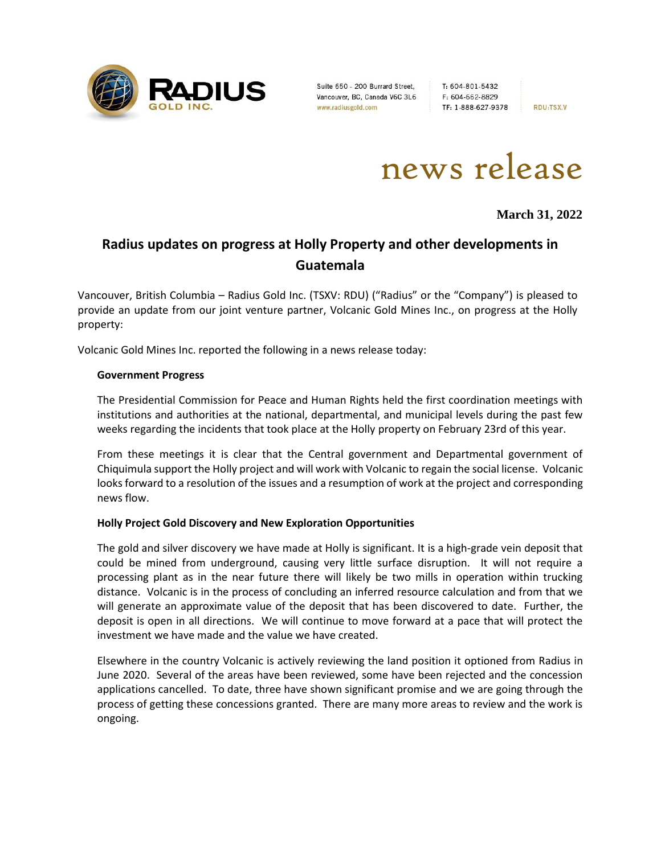

Suite 650 - 200 Burrard Street, Vancouver, BC, Canada V6C 3L6 www.radiusgold.com

T: 604-801-5432 F: 604-662-8829 TF: 1-888-627-9378

**RDU:TSX.V** 



**March 31, 2022**

# **Radius updates on progress at Holly Property and other developments in Guatemala**

Vancouver, British Columbia – Radius Gold Inc. (TSXV: RDU) ("Radius" or the "Company") is pleased to provide an update from our joint venture partner, Volcanic Gold Mines Inc., on progress at the Holly property:

Volcanic Gold Mines Inc. reported the following in a news release today:

#### **Government Progress**

The Presidential Commission for Peace and Human Rights held the first coordination meetings with institutions and authorities at the national, departmental, and municipal levels during the past few weeks regarding the incidents that took place at the Holly property on February 23rd of this year.

From these meetings it is clear that the Central government and Departmental government of Chiquimula support the Holly project and will work with Volcanic to regain the social license. Volcanic looks forward to a resolution of the issues and a resumption of work at the project and corresponding news flow.

## **Holly Project Gold Discovery and New Exploration Opportunities**

The gold and silver discovery we have made at Holly is significant. It is a high-grade vein deposit that could be mined from underground, causing very little surface disruption. It will not require a processing plant as in the near future there will likely be two mills in operation within trucking distance. Volcanic is in the process of concluding an inferred resource calculation and from that we will generate an approximate value of the deposit that has been discovered to date. Further, the deposit is open in all directions. We will continue to move forward at a pace that will protect the investment we have made and the value we have created.

Elsewhere in the country Volcanic is actively reviewing the land position it optioned from Radius in June 2020. Several of the areas have been reviewed, some have been rejected and the concession applications cancelled. To date, three have shown significant promise and we are going through the process of getting these concessions granted. There are many more areas to review and the work is ongoing.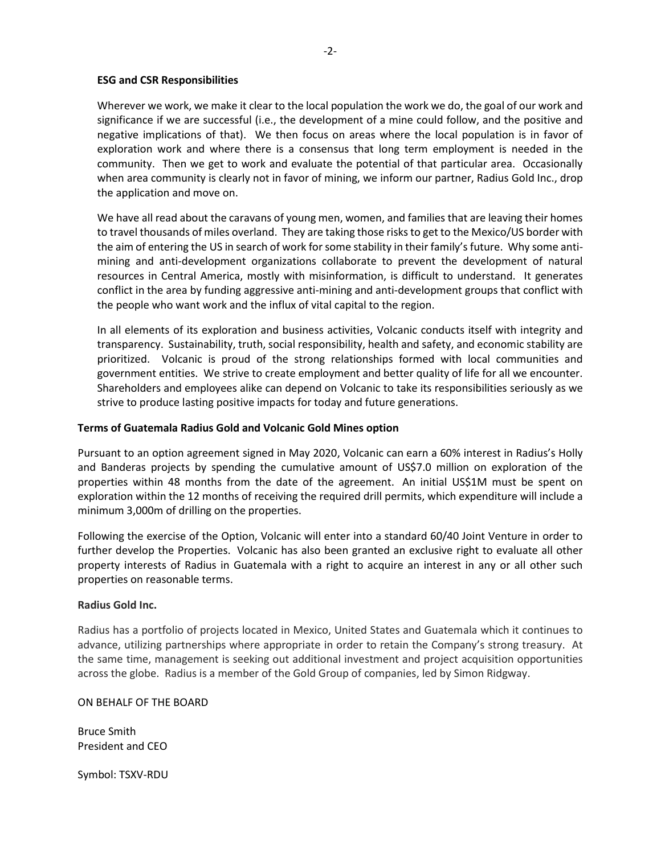### **ESG and CSR Responsibilities**

Wherever we work, we make it clear to the local population the work we do, the goal of our work and significance if we are successful (i.e., the development of a mine could follow, and the positive and negative implications of that). We then focus on areas where the local population is in favor of exploration work and where there is a consensus that long term employment is needed in the community. Then we get to work and evaluate the potential of that particular area. Occasionally when area community is clearly not in favor of mining, we inform our partner, Radius Gold Inc., drop the application and move on.

We have all read about the caravans of young men, women, and families that are leaving their homes to travel thousands of miles overland. They are taking those risks to get to the Mexico/US border with the aim of entering the US in search of work for some stability in their family's future. Why some antimining and anti-development organizations collaborate to prevent the development of natural resources in Central America, mostly with misinformation, is difficult to understand. It generates conflict in the area by funding aggressive anti-mining and anti-development groups that conflict with the people who want work and the influx of vital capital to the region.

In all elements of its exploration and business activities, Volcanic conducts itself with integrity and transparency. Sustainability, truth, social responsibility, health and safety, and economic stability are prioritized. Volcanic is proud of the strong relationships formed with local communities and government entities. We strive to create employment and better quality of life for all we encounter. Shareholders and employees alike can depend on Volcanic to take its responsibilities seriously as we strive to produce lasting positive impacts for today and future generations.

#### **Terms of Guatemala Radius Gold and Volcanic Gold Mines option**

Pursuant to an option agreement signed in May 2020, Volcanic can earn a 60% interest in Radius's Holly and Banderas projects by spending the cumulative amount of US\$7.0 million on exploration of the properties within 48 months from the date of the agreement. An initial US\$1M must be spent on exploration within the 12 months of receiving the required drill permits, which expenditure will include a minimum 3,000m of drilling on the properties.

Following the exercise of the Option, Volcanic will enter into a standard 60/40 Joint Venture in order to further develop the Properties. Volcanic has also been granted an exclusive right to evaluate all other property interests of Radius in Guatemala with a right to acquire an interest in any or all other such properties on reasonable terms.

#### **Radius Gold Inc.**

Radius has a portfolio of projects located in Mexico, United States and Guatemala which it continues to advance, utilizing partnerships where appropriate in order to retain the Company's strong treasury. At the same time, management is seeking out additional investment and project acquisition opportunities across the globe. Radius is a member of the Gold Group of companies, led by Simon Ridgway.

#### ON BEHALF OF THE BOARD

Bruce Smith President and CEO

Symbol: TSXV-RDU